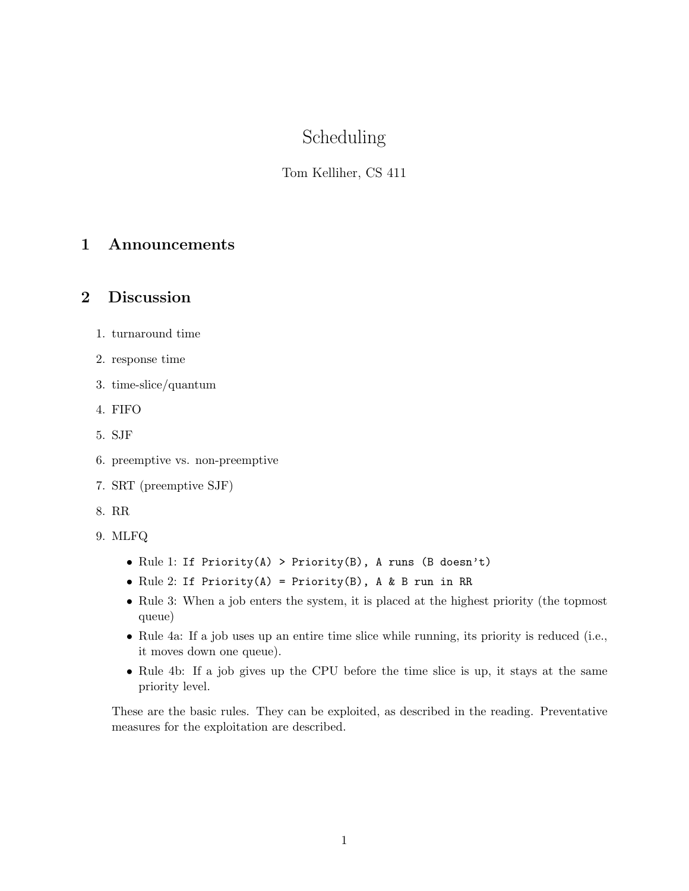# Scheduling

### Tom Kelliher, CS 411

## 1 Announcements

#### 2 Discussion

- 1. turnaround time
- 2. response time
- 3. time-slice/quantum
- 4. FIFO
- 5. SJF
- 6. preemptive vs. non-preemptive
- 7. SRT (preemptive SJF)
- 8. RR
- 9. MLFQ
	- Rule 1: If Priority(A) > Priority(B), A runs (B doesn't)
	- Rule 2: If Priority(A) = Priority(B), A & B run in RR
	- Rule 3: When a job enters the system, it is placed at the highest priority (the topmost queue)
	- Rule 4a: If a job uses up an entire time slice while running, its priority is reduced (i.e., it moves down one queue).
	- Rule 4b: If a job gives up the CPU before the time slice is up, it stays at the same priority level.

These are the basic rules. They can be exploited, as described in the reading. Preventative measures for the exploitation are described.